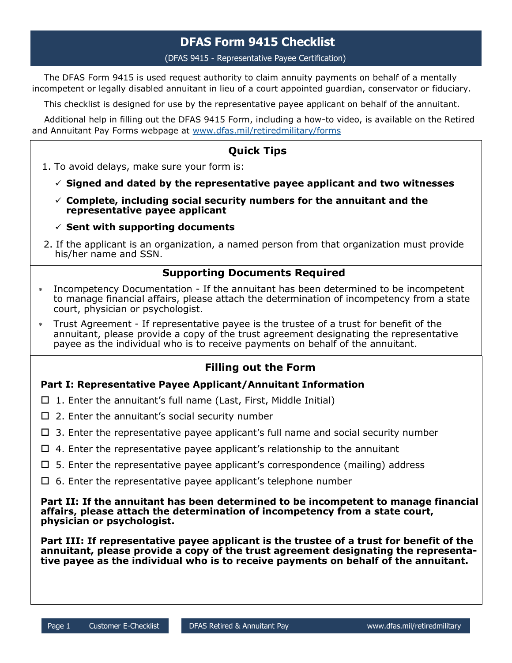# **DFAS Form 9415 Checklist**

(DFAS 9415 - Representative Payee Certification)

The DFAS Form 9415 is used request authority to claim annuity payments on behalf of a mentally incompetent or legally disabled annuitant in lieu of a court appointed guardian, conservator or fiduciary.

This checklist is designed for use by the representative payee applicant on behalf of the annuitant.

Additional help in filling out the DFAS 9415 Form, including a how-to video, is available on the Retired and Annuitant Pay Forms webpage at [www.dfas.mil/retiredmilitary/forms](https://www.dfas.mil/retiredmilitary/forms)

## **Quick Tips**

- 1. To avoid delays, make sure your form is:
	- **Signed and dated by the representative payee applicant and two witnesses**
	- **Complete, including social security numbers for the annuitant and the representative payee applicant**
	- $\checkmark$  Sent with supporting documents
- 2. If the applicant is an organization, a named person from that organization must provide his/her name and SSN.

### **Supporting Documents Required**

- Incompetency Documentation If the annuitant has been determined to be incompetent to manage financial affairs, please attach the determination of incompetency from a state court, physician or psychologist.
- Trust Agreement If representative payee is the trustee of a trust for benefit of the annuitant, please provide a copy of the trust agreement designating the representative payee as the individual who is to receive payments on behalf of the annuitant.

### **Filling out the Form**

#### **Part I: Representative Payee Applicant/Annuitant Information**

- $\Box$  1. Enter the annuitant's full name (Last, First, Middle Initial)
- $\Box$  2. Enter the annuitant's social security number
- $\Box$  3. Enter the representative payee applicant's full name and social security number
- $\Box$  4. Enter the representative payee applicant's relationship to the annuitant
- $\Box$  5. Enter the representative payee applicant's correspondence (mailing) address
- $\Box$  6. Enter the representative payee applicant's telephone number

**Part II: If the annuitant has been determined to be incompetent to manage financial affairs, please attach the determination of incompetency from a state court, physician or psychologist.**

**Part III: If representative payee applicant is the trustee of a trust for benefit of the annuitant, please provide a copy of the trust agreement designating the representative payee as the individual who is to receive payments on behalf of the annuitant.**